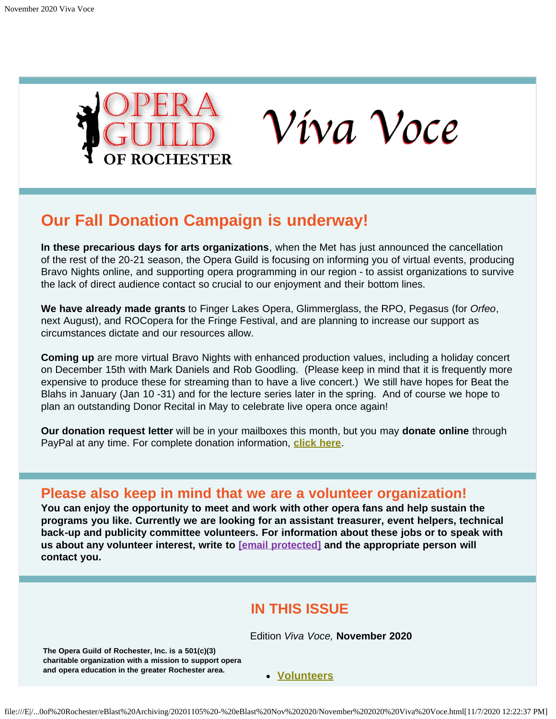<span id="page-0-1"></span>



# **Our Fall Donation Campaign is underway!**

**In these precarious days for arts organizations**, when the Met has just announced the cancellation of the rest of the 20-21 season, the Opera Guild is focusing on informing you of virtual events, producing Bravo Nights online, and supporting opera programming in our region - to assist organizations to survive the lack of direct audience contact so crucial to our enjoyment and their bottom lines.

**We have already made grants** to Finger Lakes Opera, Glimmerglass, the RPO, Pegasus (for *Orfeo*, next August), and ROCopera for the Fringe Festival, and are planning to increase our support as circumstances dictate and our resources allow.

**Coming up** are more virtual Bravo Nights with enhanced production values, including a holiday concert on December 15th with Mark Daniels and Rob Goodling. (Please keep in mind that it is frequently more expensive to produce these for streaming than to have a live concert.) We still have hopes for Beat the Blahs in January (Jan 10 -31) and for the lecture series later in the spring. And of course we hope to plan an outstanding Donor Recital in May to celebrate live opera once again!

**Our donation request letter** will be in your mailboxes this month, but you may **donate online** through PayPal at any time. For complete donation information, **[click here](#page-12-0)**.

### <span id="page-0-0"></span>**Please also keep in mind that we are a volunteer organization!**

**You can enjoy the opportunity to meet and work with other opera fans and help sustain the programs you like. Currently we are looking for an assistant treasurer, event helpers, technical back-up and publicity committee volunteers. For information about these jobs or to speak with us about any volunteer interest, write to [email [protected\]](file:///cdn-cgi/l/email-protection#3d524d584f5c5a48545159525b4f525e55584e49584f7d5a505c5451135e5250) and the appropriate person will contact you.**

### **IN THIS ISSUE**

Edition *Viva Voce,* **November 2020**

<span id="page-0-2"></span>**The Opera Guild of Rochester, Inc. is a 501(c)(3) charitable organization with a mission to support opera** and opera education in the greater Rochester area.<br>
• [Volunteers](#page-0-0)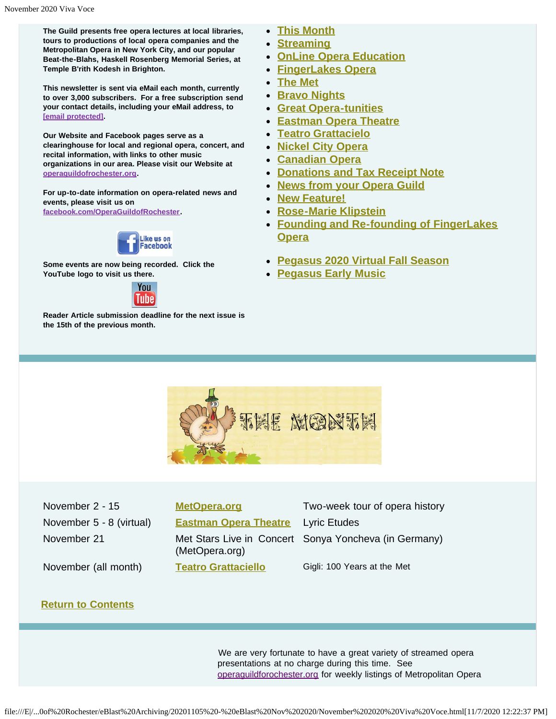**The Guild presents free opera lectures at local libraries, tours to productions of local opera companies and the Metropolitan Opera in New York City, and our popular Beat-the-Blahs, Haskell Rosenberg Memorial Series, at Temple B'rith Kodesh in Brighton.**

**This newsletter is sent via eMail each month, currently to over 3,000 subscribers. For a free subscription send your contact details, including your eMail address, to [email [protected\].](file:///cdn-cgi/l/email-protection#acc3dcc9decdcbd9c5c0c8c3cadec3cfc4c9dfd8c9deeccbc1cdc5c082cfc3c1)**

**Our Website and Facebook pages serve as a clearinghouse for local and regional opera, concert, and recital information, with links to other music organizations in our area. Please visit our Website at [operaguildofrochester.org](http://operaguildofrochester.org/).**

**For up-to-date information on opera-related news and events, please visit us on [facebook.com/OperaGuildofRochester](http://facebook.com/OperaGuildofRochester).**



**Some events are now being recorded. Click the YouTube logo to visit us there.**



<span id="page-1-0"></span>**Reader Article submission deadline for the next issue is the 15th of the previous month.**

- **[This Month](#page-1-0)**
- **[Streaming](#page-2-0)**
- **[OnLine Opera Education](#page-2-1)**
- **[FingerLakes Opera](#page-3-0)**
- **[The Met](#page-5-0)**
- **[Bravo Nights](#page-7-0)**
- **[Great Opera-tunities](#page-7-1)**
- **[Eastman Opera Theatre](#page-8-0)**
- **[Teatro Grattacielo](#page-8-1)**
- **[Nickel City Opera](#page-9-0)**
- **[Canadian Opera](#page-0-1)**
- **[Donations and Tax Receipt Note](#page-12-0)**
- **[News from your Opera Guild](#page-13-0)**
- **[New Feature!](#page-13-1)**
- **[Rose-Marie Klipstein](#page-14-0)**
- **[Founding and Re-founding of FingerLakes](#page-15-0) [Opera](#page-15-0)**
- **[Pegasus 2020 Virtual Fall Season](#page-16-0)**
- **[Pegasus Early Music](#page-17-0)**



November 2 - 15 **[MetOpera.org](#page-5-0)** Two-week tour of opera history November 5 - 8 (virtual) **[Eastman Opera Theatre](#page-8-0)** Lyric Etudes (MetOpera.org) November (all month) **[Teatro Grattaciello](#page-8-1)** Gigli: 100 Years at the Met

November 21 Met Stars Live in Concert Sonya Yoncheva (in Germany)

#### **[Return to Contents](#page-0-2)**

We are very fortunate to have a great variety of streamed opera presentations at no charge during this time. See [operaguildforochester.org](http://operaguildofrochester.org/) for weekly listings of Metropolitan Opera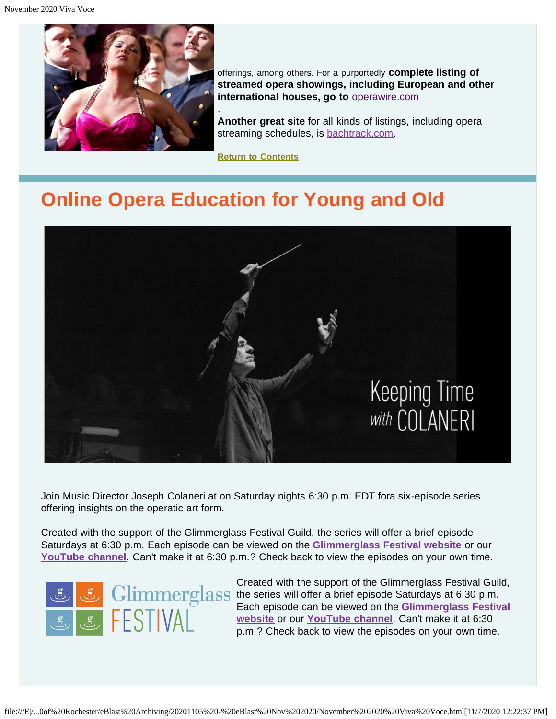<span id="page-2-0"></span>

offerings, among others. For a purportedly **complete listing of streamed opera showings, including European and other international houses, go to** [operawire.com](http://www.operawire.com/)

**Another great site** for all kinds of listings, including opera streaming schedules, is [bachtrack.com](http://bachtrack.com/).

**[Return to Contents](#page-0-2)**

# **Online Opera Education for Young and Old**

.

<span id="page-2-1"></span>

Join Music Director Joseph Colaneri at on Saturday nights 6:30 p.m. EDT fora six-episode series offering insights on the operatic art form.

Created with the support of the Glimmerglass Festival Guild, the series will offer a brief episode Saturdays at 6:30 p.m. Each episode can be viewed on the **[Glimmerglass Festival website](https://glimmerglass.org/events/keeping-time-colaneri-1/)** or our **[YouTube channel](https://youtu.be/Zq6msRgy_UY)**. Can't make it at 6:30 p.m.? Check back to view the episodes on your own time.



Created with the support of the Glimmerglass Festival Guild, the series will offer a brief episode Saturdays at 6:30 p.m. Each episode can be viewed on the **[Glimmerglass Festival](https://glimmerglass.org/events/keeping-time-colaneri-1/) [website](https://glimmerglass.org/events/keeping-time-colaneri-1/)** or our **[YouTube channel](https://youtu.be/Zq6msRgy_UY)**. Can't make it at 6:30 p.m.? Check back to view the episodes on your own time.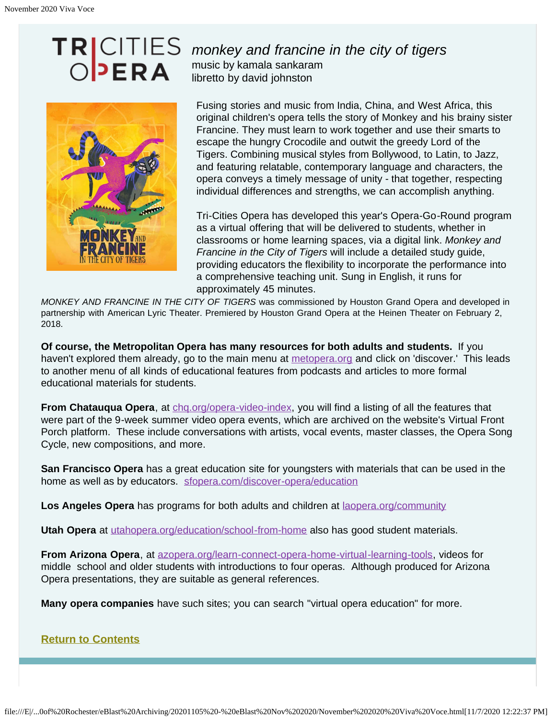

### *monkey and francine in the city of tigers* music by kamala sankaram libretto by david johnston

Fusing stories and music from India, China, and West Africa, this original children's opera tells the story of Monkey and his brainy sister Francine. They must learn to work together and use their smarts to escape the hungry Crocodile and outwit the greedy Lord of the Tigers. Combining musical styles from Bollywood, to Latin, to Jazz, and featuring relatable, contemporary language and characters, the opera conveys a timely message of unity - that together, respecting individual differences and strengths, we can accomplish anything.

Tri-Cities Opera has developed this year's Opera-Go-Round program as a virtual offering that will be delivered to students, whether in classrooms or home learning spaces, via a digital link. *Monkey and Francine in the City of Tigers* will include a detailed study guide, providing educators the flexibility to incorporate the performance into a comprehensive teaching unit. Sung in English, it runs for approximately 45 minutes.

*MONKEY AND FRANCINE IN THE CITY OF TIGERS* was commissioned by Houston Grand Opera and developed in partnership with American Lyric Theater. Premiered by Houston Grand Opera at the Heinen Theater on February 2, 2018.

**Of course, the Metropolitan Opera has many resources for both adults and students.** If you haven't explored them already, go to the main menu at [metopera.org](http://metopera.org/) and click on 'discover.' This leads to another menu of all kinds of educational features from podcasts and articles to more formal educational materials for students.

**From Chatauqua Opera**, at [chq.org/opera-video-index](http://chq.org/opera-video-index), you will find a listing of all the features that were part of the 9-week summer video opera events, which are archived on the website's Virtual Front Porch platform. These include conversations with artists, vocal events, master classes, the Opera Song Cycle, new compositions, and more.

**San Francisco Opera** has a great education site for youngsters with materials that can be used in the home as well as by educators. [sfopera.com/discover-opera/education](http://sfopera.com/discover-opera/education)

**Los Angeles Opera** has programs for both adults and children at **laopera.org/community** 

**Utah Opera** at [utahopera.org/education/school-from-home](http://utahopera.org/education/school-from-home) also has good student materials.

**From Arizona Opera**, at [azopera.org/learn-connect-opera-home-virtual-learning-tools,](http://azopera.org/learn-connect-opera-home-virtual-learning-tools) videos for middle school and older students with introductions to four operas. Although produced for Arizona Opera presentations, they are suitable as general references.

**Many opera companies** have such sites; you can search "virtual opera education" for more.

<span id="page-3-0"></span>**[Return to Contents](#page-0-2)**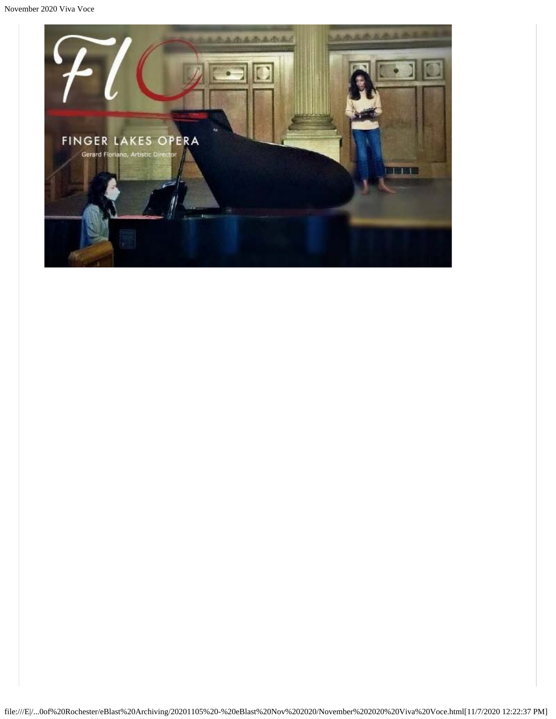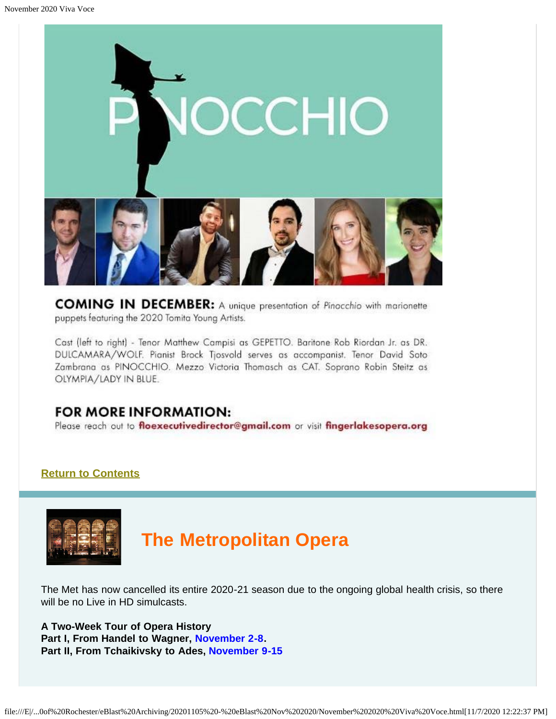

**COMING IN DECEMBER:** A unique presentation of Pinocchio with marionette puppets featuring the 2020 Tomita Young Artists.

Cast (left to right) - Tenor Matthew Campisi as GEPETTO. Baritone Rob Riordan Jr. as DR. DULCAMARA/WOLF. Pianist Brock Tjosvold serves as accompanist. Tenor David Soto Zambrana as PINOCCHIO. Mezzo Victoria Thomasch as CAT. Soprano Robin Steitz as OLYMPIA/LADY IN BLUE.

### **FOR MORE INFORMATION:**

Please reach out to floexecutivedirector@gmail.com or visit fingerlakesopera.org

### **[Return to Contents](#page-0-2)**

<span id="page-5-0"></span>

# **The Metropolitan Opera**

The Met has now cancelled its entire 2020-21 season due to the ongoing global health crisis, so there will be no Live in HD simulcasts.

**A Two-Week Tour of Opera History Part I, From Handel to Wagner, November 2-8. Part II, From Tchaikivsky to Ades, November 9-15**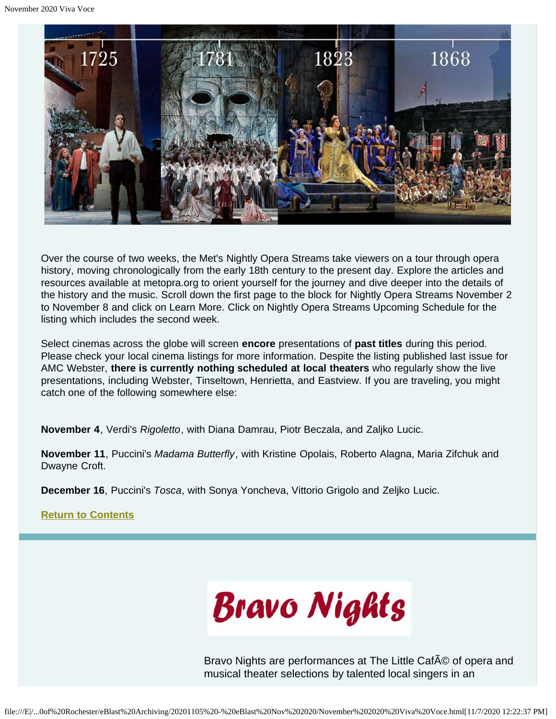

Over the course of two weeks, the Met's Nightly Opera Streams take viewers on a tour through opera history, moving chronologically from the early 18th century to the present day. Explore the articles and resources available at metopra.org to orient yourself for the journey and dive deeper into the details of the history and the music. Scroll down the first page to the block for Nightly Opera Streams November 2 to November 8 and click on Learn More. Click on Nightly Opera Streams Upcoming Schedule for the listing which includes the second week.

Select cinemas across the globe will screen **encore** presentations of **past titles** during this period. Please check your local cinema listings for more information. Despite the listing published last issue for AMC Webster, **there is currently nothing scheduled at local theaters** who regularly show the live presentations, including Webster, Tinseltown, Henrietta, and Eastview. If you are traveling, you might catch one of the following somewhere else:

**November 4**, Verdi's *Rigoletto*, with Diana Damrau, Piotr Beczala, and Zaljko Lucic.

**November 11**, Puccini's *Madama Butterfly*, with Kristine Opolais, Roberto Alagna, Maria Zifchuk and Dwayne Croft.

**December 16**, Puccini's *Tosca*, with Sonya Yoncheva, Vittorio Grigolo and Zeljko Lucic.

**[Return to Contents](#page-0-2)**



Bravo Nights are performances at The Little Caf<sub>A</sub>© of opera and musical theater selections by talented local singers in an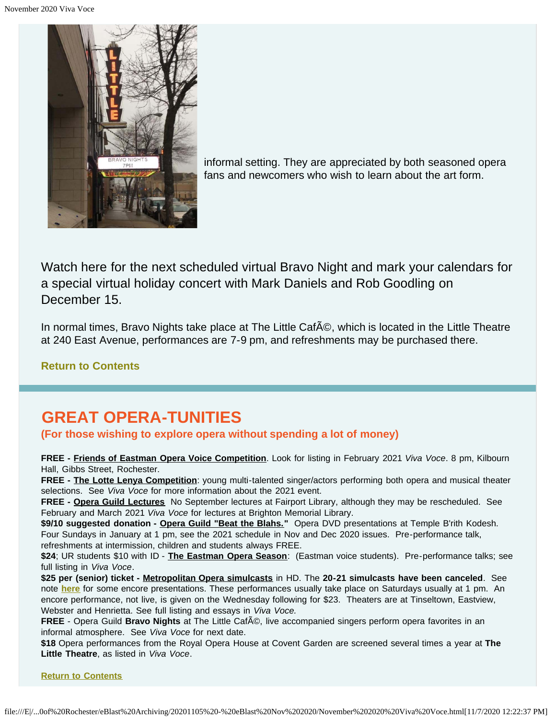<span id="page-7-0"></span>

informal setting. They are appreciated by both seasoned opera fans and newcomers who wish to learn about the art form.

Watch here for the next scheduled virtual Bravo Night and mark your calendars for a special virtual holiday concert with Mark Daniels and Rob Goodling on December 15.

In normal times, Bravo Nights take place at The Little Caf©, which is located in the Little Theatre at 240 East Avenue, performances are 7-9 pm, and refreshments may be purchased there.

### **[Return to Contents](#page-0-2)**

# <span id="page-7-1"></span>**GREAT OPERA-TUNITIES**

### **(For those wishing to explore opera without spending a lot of money)**

**FREE - Friends of Eastman Opera Voice Competition**. Look for listing in February 2021 *Viva Voce*. 8 pm, Kilbourn Hall, Gibbs Street, Rochester.

**FREE - The Lotte Lenya Competition**: young multi-talented singer/actors performing both opera and musical theater selections. See *Viva Voce* for more information about the 2021 event.

**FREE - Opera Guild Lectures** No September lectures at Fairport Library, although they may be rescheduled. See February and March 2021 *Viva Voce* for lectures at Brighton Memorial Library.

\$9/10 suggested donation - Opera Guild "Beat the Blahs." Opera DVD presentations at Temple B'rith Kodesh. Four Sundays in January at 1 pm, see the 2021 schedule in Nov and Dec 2020 issues. Pre-performance talk, refreshments at intermission, children and students always FREE.

**\$24**; UR students \$10 with ID - **The Eastman Opera Season**: (Eastman voice students). Pre-performance talks; see full listing in *Viva Voce*.

**\$25 per (senior) ticket - Metropolitan Opera simulcasts** in HD. The **20-21 simulcasts have been canceled**. See note **[here](#page-5-0)** for some encore presentations. These performances usually take place on Saturdays usually at 1 pm. An encore performance, not live, is given on the Wednesday following for \$23. Theaters are at Tinseltown, Eastview, Webster and Henrietta. See full listing and essays in *Viva Voce.*

FREE - Opera Guild Bravo Nights at The Little Caf©, live accompanied singers perform opera favorites in an informal atmosphere. See *Viva Voce* for next date.

**\$18** Opera performances from the Royal Opera House at Covent Garden are screened several times a year at **The Little Theatre**, as listed in *Viva Voce*.

**[Return to Contents](#page-0-2)**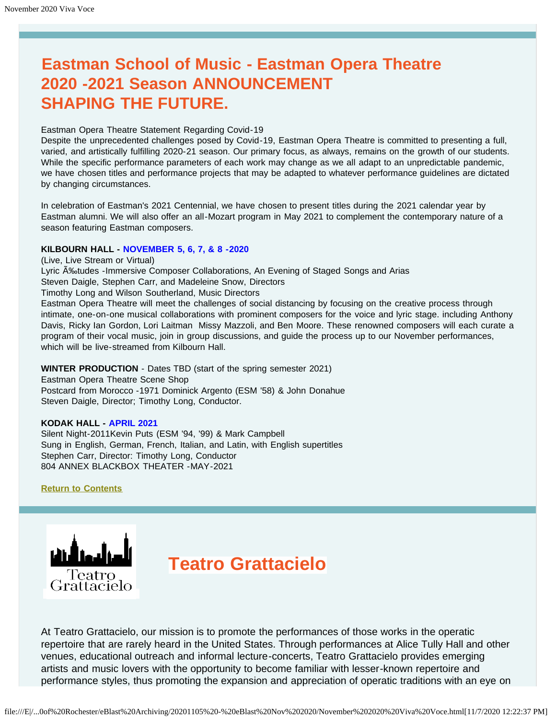# <span id="page-8-0"></span>**Eastman School of Music - Eastman Opera Theatre 2020 -2021 Season ANNOUNCEMENT SHAPING THE FUTURE.**

#### Eastman Opera Theatre Statement Regarding Covid-19

Despite the unprecedented challenges posed by Covid-19, Eastman Opera Theatre is committed to presenting a full, varied, and artistically fulfilling 2020-21 season. Our primary focus, as always, remains on the growth of our students. While the specific performance parameters of each work may change as we all adapt to an unpredictable pandemic, we have chosen titles and performance projects that may be adapted to whatever performance guidelines are dictated by changing circumstances.

In celebration of Eastman's 2021 Centennial, we have chosen to present titles during the 2021 calendar year by Eastman alumni. We will also offer an all-Mozart program in May 2021 to complement the contemporary nature of a season featuring Eastman composers.

#### **KILBOURN HALL - NOVEMBER 5, 6, 7, & 8 -2020**

(Live, Live Stream or Virtual)

Lyric A<sub>botudes</sub> -Immersive Composer Collaborations, An Evening of Staged Songs and Arias

Steven Daigle, Stephen Carr, and Madeleine Snow, Directors

Timothy Long and Wilson Southerland, Music Directors

Eastman Opera Theatre will meet the challenges of social distancing by focusing on the creative process through intimate, one-on-one musical collaborations with prominent composers for the voice and lyric stage. including Anthony Davis, Ricky Ian Gordon, Lori Laitman Missy Mazzoli, and Ben Moore. These renowned composers will each curate a program of their vocal music, join in group discussions, and guide the process up to our November performances, which will be live-streamed from Kilbourn Hall.

#### **WINTER PRODUCTION** - Dates TBD (start of the spring semester 2021)

Eastman Opera Theatre Scene Shop Postcard from Morocco -1971 Dominick Argento (ESM '58) & John Donahue Steven Daigle, Director; Timothy Long, Conductor.

#### **KODAK HALL - APRIL 2021**

Silent Night-2011Kevin Puts (ESM '94, '99) & Mark Campbell Sung in English, German, French, Italian, and Latin, with English supertitles Stephen Carr, Director: Timothy Long, Conductor 804 ANNEX BLACKBOX THEATER -MAY-2021

#### **[Return to Contents](#page-0-2)**

<span id="page-8-1"></span>

# **Teatro Grattacielo**

At Teatro Grattacielo, our mission is to promote the performances of those works in the operatic repertoire that are rarely heard in the United States. Through performances at Alice Tully Hall and other venues, educational outreach and informal lecture-concerts, Teatro Grattacielo provides emerging artists and music lovers with the opportunity to become familiar with lesser-known repertoire and performance styles, thus promoting the expansion and appreciation of operatic traditions with an eye on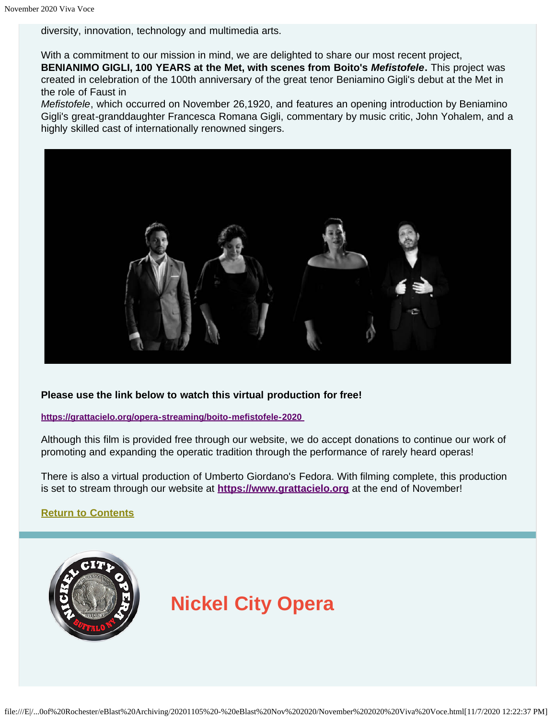diversity, innovation, technology and multimedia arts.

With a commitment to our mission in mind, we are delighted to share our most recent project, **BENIANIMO GIGLI, 100 YEARS at the Met, with scenes from Boito's** *Mefistofele***.** This project was created in celebration of the 100th anniversary of the great tenor Beniamino Gigli's debut at the Met in the role of Faust in

*Mefistofele*, which occurred on November 26,1920, and features an opening introduction by Beniamino Gigli's great-granddaughter Francesca Romana Gigli, commentary by music critic, John Yohalem, and a highly skilled cast of internationally renowned singers.



#### **Please use the link below to watch this virtual production for free!**

**<https://grattacielo.org/opera-streaming/boito-mefistofele-2020>**

Although this film is provided free through our website, we do accept donations to continue our work of promoting and expanding the operatic tradition through the performance of rarely heard operas!

There is also a virtual production of Umberto Giordano's Fedora. With filming complete, this production is set to stream through our website at **[https://www.grattacielo.org](https://www.grattacielo.org/)** at the end of November!

**[Return to Contents](#page-0-2)**

<span id="page-9-0"></span>

# **Nickel City Opera**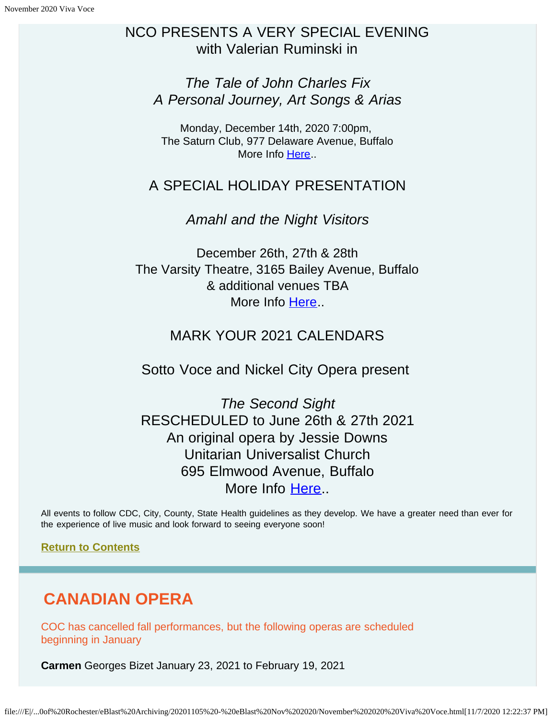### NCO PRESENTS A VERY SPECIAL EVENING with Valerian Ruminski in

*The Tale of John Charles Fix A Personal Journey, Art Songs & Arias*

Monday, December 14th, 2020 7:00pm, The Saturn Club, 977 Delaware Avenue, Buffalo More Info [Here](https://www.nickelcityopera.org/players)..

### A SPECIAL HOLIDAY PRESENTATION

*Amahl and the Night Visitors*

December 26th, 27th & 28th The Varsity Theatre, 3165 Bailey Avenue, Buffalo & additional venues TBA More Info [Here](https://www.nickelcityopera.org/players)...

### MARK YOUR 2021 CALENDARS

Sotto Voce and Nickel City Opera present

*The Second Sight* RESCHEDULED to June 26th & 27th 2021 An original opera by Jessie Downs Unitarian Universalist Church 695 Elmwood Avenue, Buffalo More Info [Here](https://www.nickelcityopera.org/players)..

All events to follow CDC, City, County, State Health guidelines as they develop. We have a greater need than ever for the experience of live music and look forward to seeing everyone soon!

**[Return to Contents](#page-0-2)**

# **CANADIAN OPERA**

COC has cancelled fall performances, but the following operas are scheduled beginning in January

**Carmen** Georges Bizet January 23, 2021 to February 19, 2021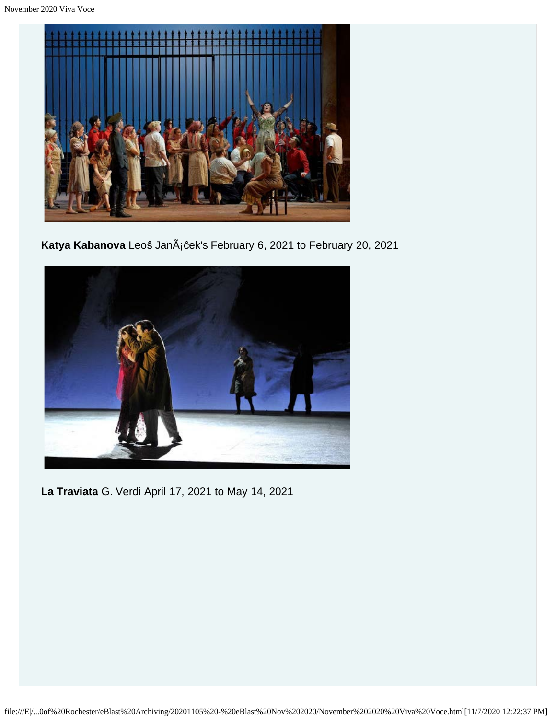

Katya Kabanova Leoŝ JanÃ<sub>i</sub>ĉek's February 6, 2021 to February 20, 2021



**La Traviata** G. Verdi April 17, 2021 to May 14, 2021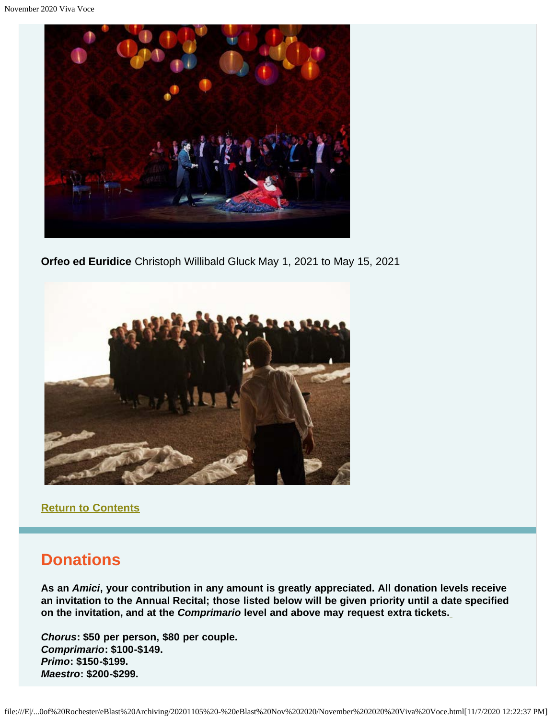

**Orfeo ed Euridice** Christoph Willibald Gluck May 1, 2021 to May 15, 2021



**[Return to Contents](#page-0-2)**

### <span id="page-12-0"></span>**Donations**

**As an** *Amici***, your contribution in any amount is greatly appreciated. All donation levels receive an invitation to the Annual Recital; those listed below will be given priority until a date specified on the invitation, and at the** *Comprimario* **level and above may request extra tickets.**

*Chorus***: \$50 per person, \$80 per couple.** *Comprimario***: \$100-\$149.** *Primo***: \$150-\$199.** *Maestro***: \$200-\$299.**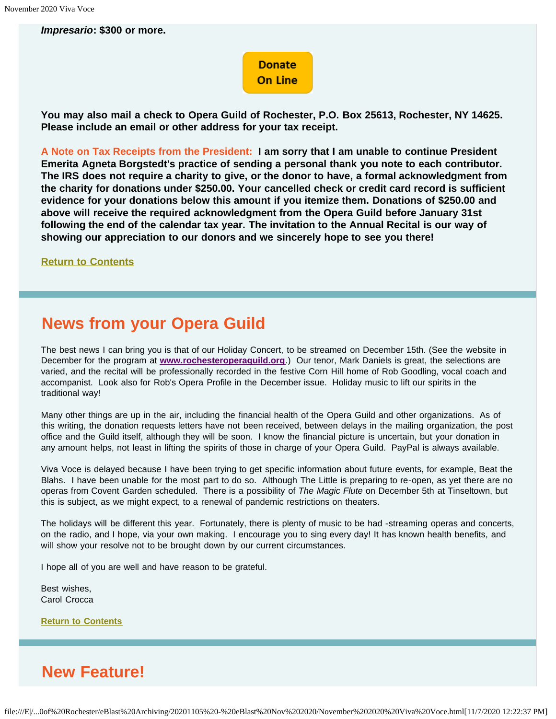*Impresario***: \$300 or more.**

### **Donate On Line**

**You may also mail a check to Opera Guild of Rochester, P.O. Box 25613, Rochester, NY 14625. Please include an email or other address for your tax receipt.**

**A Note on Tax Receipts from the President: I am sorry that I am unable to continue President Emerita Agneta Borgstedt's practice of sending a personal thank you note to each contributor. The IRS does not require a charity to give, or the donor to have, a formal acknowledgment from the charity for donations under \$250.00. Your cancelled check or credit card record is sufficient evidence for your donations below this amount if you itemize them. Donations of \$250.00 and above will receive the required acknowledgment from the Opera Guild before January 31st following the end of the calendar tax year. The invitation to the Annual Recital is our way of showing our appreciation to our donors and we sincerely hope to see you there!**

**[Return to Contents](#page-0-2)**

### <span id="page-13-0"></span>**News from your Opera Guild**

The best news I can bring you is that of our Holiday Concert, to be streamed on December 15th. (See the website in December for the program at **[www.rochesteroperaguild.org](http://www.rochesteroperaguild.org/)**.) Our tenor, Mark Daniels is great, the selections are varied, and the recital will be professionally recorded in the festive Corn Hill home of Rob Goodling, vocal coach and accompanist. Look also for Rob's Opera Profile in the December issue. Holiday music to lift our spirits in the traditional way!

Many other things are up in the air, including the financial health of the Opera Guild and other organizations. As of this writing, the donation requests letters have not been received, between delays in the mailing organization, the post office and the Guild itself, although they will be soon. I know the financial picture is uncertain, but your donation in any amount helps, not least in lifting the spirits of those in charge of your Opera Guild. PayPal is always available.

Viva Voce is delayed because I have been trying to get specific information about future events, for example, Beat the Blahs. I have been unable for the most part to do so. Although The Little is preparing to re-open, as yet there are no operas from Covent Garden scheduled. There is a possibility of *The Magic Flute* on December 5th at Tinseltown, but this is subject, as we might expect, to a renewal of pandemic restrictions on theaters.

The holidays will be different this year. Fortunately, there is plenty of music to be had -streaming operas and concerts, on the radio, and I hope, via your own making. I encourage you to sing every day! It has known health benefits, and will show your resolve not to be brought down by our current circumstances.

I hope all of you are well and have reason to be grateful.

Best wishes, Carol Crocca

**[Return to Contents](#page-0-2)**

# <span id="page-13-1"></span>**New Feature!**

file:///E|/...0of%20Rochester/eBlast%20Archiving/20201105%20-%20eBlast%20Nov%202020/November%202020%20Viva%20Voce.html[11/7/2020 12:22:37 PM]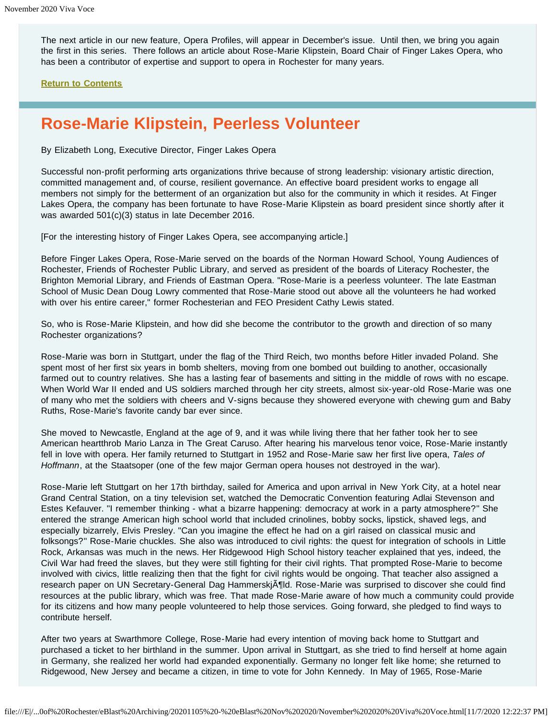The next article in our new feature, Opera Profiles, will appear in December's issue. Until then, we bring you again the first in this series. There follows an article about Rose-Marie Klipstein, Board Chair of Finger Lakes Opera, who has been a contributor of expertise and support to opera in Rochester for many years.

**[Return to Contents](#page-0-2)**

### <span id="page-14-0"></span>**Rose-Marie Klipstein, Peerless Volunteer**

By Elizabeth Long, Executive Director, Finger Lakes Opera

Successful non-profit performing arts organizations thrive because of strong leadership: visionary artistic direction, committed management and, of course, resilient governance. An effective board president works to engage all members not simply for the betterment of an organization but also for the community in which it resides. At Finger Lakes Opera, the company has been fortunate to have Rose-Marie Klipstein as board president since shortly after it was awarded 501(c)(3) status in late December 2016.

[For the interesting history of Finger Lakes Opera, see accompanying article.]

Before Finger Lakes Opera, Rose-Marie served on the boards of the Norman Howard School, Young Audiences of Rochester, Friends of Rochester Public Library, and served as president of the boards of Literacy Rochester, the Brighton Memorial Library, and Friends of Eastman Opera. "Rose-Marie is a peerless volunteer. The late Eastman School of Music Dean Doug Lowry commented that Rose-Marie stood out above all the volunteers he had worked with over his entire career," former Rochesterian and FEO President Cathy Lewis stated.

So, who is Rose-Marie Klipstein, and how did she become the contributor to the growth and direction of so many Rochester organizations?

Rose-Marie was born in Stuttgart, under the flag of the Third Reich, two months before Hitler invaded Poland. She spent most of her first six years in bomb shelters, moving from one bombed out building to another, occasionally farmed out to country relatives. She has a lasting fear of basements and sitting in the middle of rows with no escape. When World War II ended and US soldiers marched through her city streets, almost six-year-old Rose-Marie was one of many who met the soldiers with cheers and V-signs because they showered everyone with chewing gum and Baby Ruths, Rose-Marie's favorite candy bar ever since.

She moved to Newcastle, England at the age of 9, and it was while living there that her father took her to see American heartthrob Mario Lanza in The Great Caruso. After hearing his marvelous tenor voice, Rose-Marie instantly fell in love with opera. Her family returned to Stuttgart in 1952 and Rose-Marie saw her first live opera, *Tales of Hoffmann*, at the Staatsoper (one of the few major German opera houses not destroyed in the war).

Rose-Marie left Stuttgart on her 17th birthday, sailed for America and upon arrival in New York City, at a hotel near Grand Central Station, on a tiny television set, watched the Democratic Convention featuring Adlai Stevenson and Estes Kefauver. "I remember thinking - what a bizarre happening: democracy at work in a party atmosphere?" She entered the strange American high school world that included crinolines, bobby socks, lipstick, shaved legs, and especially bizarrely, Elvis Presley. "Can you imagine the effect he had on a girl raised on classical music and folksongs?" Rose-Marie chuckles. She also was introduced to civil rights: the quest for integration of schools in Little Rock, Arkansas was much in the news. Her Ridgewood High School history teacher explained that yes, indeed, the Civil War had freed the slaves, but they were still fighting for their civil rights. That prompted Rose-Marie to become involved with civics, little realizing then that the fight for civil rights would be ongoing. That teacher also assigned a research paper on UN Secretary-General Dag Hammerskj $\tilde{A}$ fild. Rose-Marie was surprised to discover she could find resources at the public library, which was free. That made Rose-Marie aware of how much a community could provide for its citizens and how many people volunteered to help those services. Going forward, she pledged to find ways to contribute herself.

After two years at Swarthmore College, Rose-Marie had every intention of moving back home to Stuttgart and purchased a ticket to her birthland in the summer. Upon arrival in Stuttgart, as she tried to find herself at home again in Germany, she realized her world had expanded exponentially. Germany no longer felt like home; she returned to Ridgewood, New Jersey and became a citizen, in time to vote for John Kennedy. In May of 1965, Rose-Marie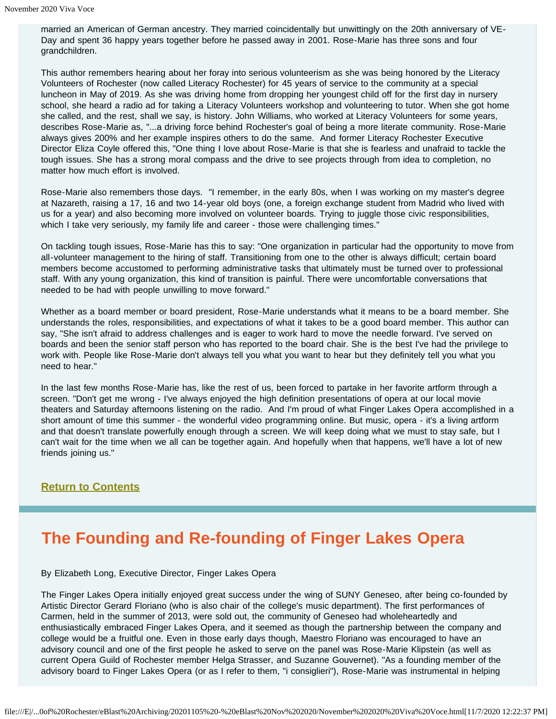married an American of German ancestry. They married coincidentally but unwittingly on the 20th anniversary of VE-Day and spent 36 happy years together before he passed away in 2001. Rose-Marie has three sons and four grandchildren.

This author remembers hearing about her foray into serious volunteerism as she was being honored by the Literacy Volunteers of Rochester (now called Literacy Rochester) for 45 years of service to the community at a special luncheon in May of 2019. As she was driving home from dropping her youngest child off for the first day in nursery school, she heard a radio ad for taking a Literacy Volunteers workshop and volunteering to tutor. When she got home she called, and the rest, shall we say, is history. John Williams, who worked at Literacy Volunteers for some years, describes Rose-Marie as, "...a driving force behind Rochester's goal of being a more literate community. Rose-Marie always gives 200% and her example inspires others to do the same. And former Literacy Rochester Executive Director Eliza Coyle offered this, "One thing I love about Rose-Marie is that she is fearless and unafraid to tackle the tough issues. She has a strong moral compass and the drive to see projects through from idea to completion, no matter how much effort is involved.

Rose-Marie also remembers those days. "I remember, in the early 80s, when I was working on my master's degree at Nazareth, raising a 17, 16 and two 14-year old boys (one, a foreign exchange student from Madrid who lived with us for a year) and also becoming more involved on volunteer boards. Trying to juggle those civic responsibilities, which I take very seriously, my family life and career - those were challenging times."

On tackling tough issues, Rose-Marie has this to say: "One organization in particular had the opportunity to move from all-volunteer management to the hiring of staff. Transitioning from one to the other is always difficult; certain board members become accustomed to performing administrative tasks that ultimately must be turned over to professional staff. With any young organization, this kind of transition is painful. There were uncomfortable conversations that needed to be had with people unwilling to move forward."

Whether as a board member or board president, Rose-Marie understands what it means to be a board member. She understands the roles, responsibilities, and expectations of what it takes to be a good board member. This author can say, "She isn't afraid to address challenges and is eager to work hard to move the needle forward. I've served on boards and been the senior staff person who has reported to the board chair. She is the best I've had the privilege to work with. People like Rose-Marie don't always tell you what you want to hear but they definitely tell you what you need to hear."

In the last few months Rose-Marie has, like the rest of us, been forced to partake in her favorite artform through a screen. "Don't get me wrong - I've always enjoyed the high definition presentations of opera at our local movie theaters and Saturday afternoons listening on the radio. And I'm proud of what Finger Lakes Opera accomplished in a short amount of time this summer - the wonderful video programming online. But music, opera - it's a living artform and that doesn't translate powerfully enough through a screen. We will keep doing what we must to stay safe, but I can't wait for the time when we all can be together again. And hopefully when that happens, we'll have a lot of new friends joining us."

#### **[Return to Contents](#page-0-2)**

### <span id="page-15-0"></span>**The Founding and Re-founding of Finger Lakes Opera**

By Elizabeth Long, Executive Director, Finger Lakes Opera

The Finger Lakes Opera initially enjoyed great success under the wing of SUNY Geneseo, after being co-founded by Artistic Director Gerard Floriano (who is also chair of the college's music department). The first performances of Carmen, held in the summer of 2013, were sold out, the community of Geneseo had wholeheartedly and enthusiastically embraced Finger Lakes Opera, and it seemed as though the partnership between the company and college would be a fruitful one. Even in those early days though, Maestro Floriano was encouraged to have an advisory council and one of the first people he asked to serve on the panel was Rose-Marie Klipstein (as well as current Opera Guild of Rochester member Helga Strasser, and Suzanne Gouvernet). "As a founding member of the advisory board to Finger Lakes Opera (or as I refer to them, "i consiglieri"), Rose-Marie was instrumental in helping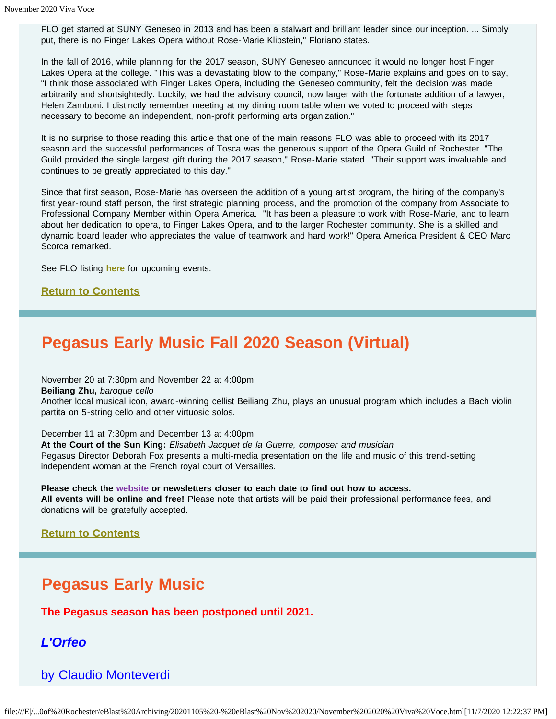FLO get started at SUNY Geneseo in 2013 and has been a stalwart and brilliant leader since our inception. ... Simply put, there is no Finger Lakes Opera without Rose-Marie Klipstein," Floriano states.

In the fall of 2016, while planning for the 2017 season, SUNY Geneseo announced it would no longer host Finger Lakes Opera at the college. "This was a devastating blow to the company," Rose-Marie explains and goes on to say, "I think those associated with Finger Lakes Opera, including the Geneseo community, felt the decision was made arbitrarily and shortsightedly. Luckily, we had the advisory council, now larger with the fortunate addition of a lawyer, Helen Zamboni. I distinctly remember meeting at my dining room table when we voted to proceed with steps necessary to become an independent, non-profit performing arts organization."

It is no surprise to those reading this article that one of the main reasons FLO was able to proceed with its 2017 season and the successful performances of Tosca was the generous support of the Opera Guild of Rochester. "The Guild provided the single largest gift during the 2017 season," Rose-Marie stated. "Their support was invaluable and continues to be greatly appreciated to this day."

Since that first season, Rose-Marie has overseen the addition of a young artist program, the hiring of the company's first year-round staff person, the first strategic planning process, and the promotion of the company from Associate to Professional Company Member within Opera America. "It has been a pleasure to work with Rose-Marie, and to learn about her dedication to opera, to Finger Lakes Opera, and to the larger Rochester community. She is a skilled and dynamic board leader who appreciates the value of teamwork and hard work!" Opera America President & CEO Marc Scorca remarked.

See FLO listing **[here](#page-3-0)** for upcoming events.

#### **[Return to Contents](#page-0-2)**

### <span id="page-16-0"></span>**Pegasus Early Music Fall 2020 Season (Virtual)**

November 20 at 7:30pm and November 22 at 4:00pm:

**Beiliang Zhu,** *baroque cello*

Another local musical icon, award-winning cellist Beiliang Zhu, plays an unusual program which includes a Bach violin partita on 5-string cello and other virtuosic solos.

December 11 at 7:30pm and December 13 at 4:00pm:

**At the Court of the Sun King:** *Elisabeth Jacquet de la Guerre, composer and musician* Pegasus Director Deborah Fox presents a multi-media presentation on the life and music of this trend-setting independent woman at the French royal court of Versailles.

**Please check the [website](https://www.pegasusearlymusic.org/) or newsletters closer to each date to find out how to access. All events will be online and free!** Please note that artists will be paid their professional performance fees, and donations will be gratefully accepted.

#### **[Return to Contents](#page-0-2)**

### **Pegasus Early Music**

**The Pegasus season has been postponed until 2021.**

*L'Orfeo*

by Claudio Monteverdi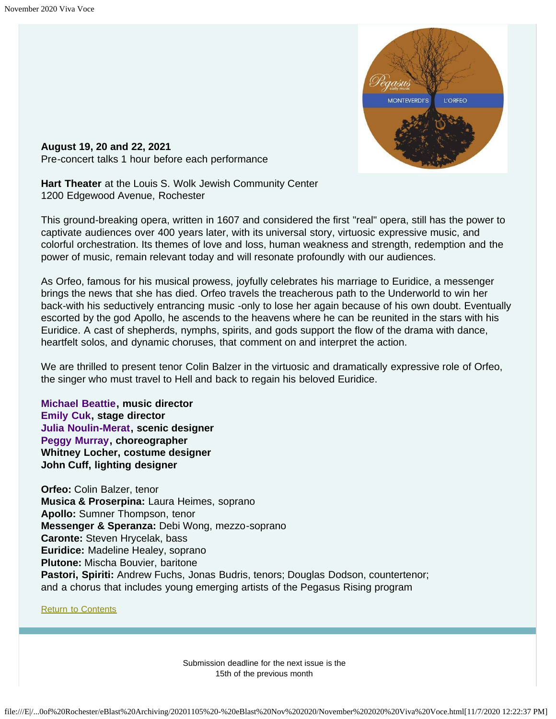

<span id="page-17-0"></span>**August 19, 20 and 22, 2021** Pre-concert talks 1 hour before each performance

**Hart Theater** at the Louis S. Wolk Jewish Community Center 1200 Edgewood Avenue, Rochester

This ground-breaking opera, written in 1607 and considered the first "real" opera, still has the power to captivate audiences over 400 years later, with its universal story, virtuosic expressive music, and colorful orchestration. Its themes of love and loss, human weakness and strength, redemption and the power of music, remain relevant today and will resonate profoundly with our audiences.

As Orfeo, famous for his musical prowess, joyfully celebrates his marriage to Euridice, a messenger brings the news that she has died. Orfeo travels the treacherous path to the Underworld to win her back-with his seductively entrancing music -only to lose her again because of his own doubt. Eventually escorted by the god Apollo, he ascends to the heavens where he can be reunited in the stars with his Euridice. A cast of shepherds, nymphs, spirits, and gods support the flow of the drama with dance, heartfelt solos, and dynamic choruses, that comment on and interpret the action.

We are thrilled to present tenor Colin Balzer in the virtuosic and dramatically expressive role of Orfeo, the singer who must travel to Hell and back to regain his beloved Euridice.

**[Michael Beattie](https://www.pegasusearlymusic.org/artist/michael-beattie/), music director [Emily Cuk](https://www.pegasusearlymusic.org/artist/emily-cuk/), stage director [Julia Noulin-Merat,](https://www.pegasusearlymusic.org/artist/julia-noulin-merat/) scenic designer [Peggy Murray,](https://www.pegasusearlymusic.org/artist/peggy-murray/) choreographer Whitney Locher, costume designer John Cuff, lighting designer**

**Orfeo:** Colin Balzer, tenor **Musica & Proserpina:** Laura Heimes, soprano **Apollo:** Sumner Thompson, tenor **Messenger & Speranza:** Debi Wong, mezzo-soprano **Caronte:** Steven Hrycelak, bass **Euridice:** Madeline Healey, soprano **Plutone:** Mischa Bouvier, baritone **Pastori, Spiriti:** Andrew Fuchs, Jonas Budris, tenors; Douglas Dodson, countertenor; and a chorus that includes young emerging artists of the Pegasus Rising program

**[Return to Contents](#page-0-2)** 

Submission deadline for the next issue is the 15th of the previous month